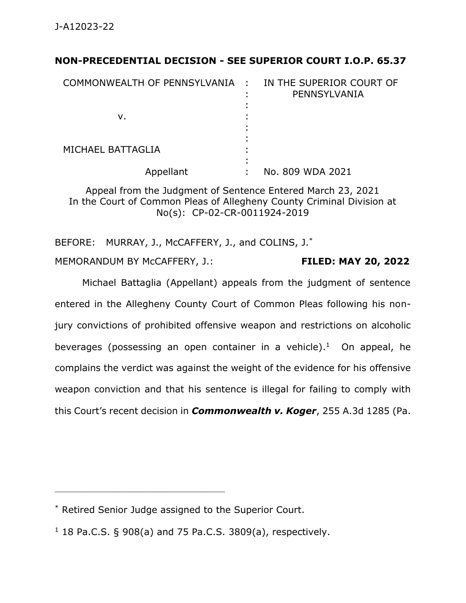## **NON-PRECEDENTIAL DECISION - SEE SUPERIOR COURT I.O.P. 65.37**

| COMMONWEALTH OF PENNSYLVANIA : |   | IN THE SUPERIOR COURT OF<br>PENNSYLVANIA |
|--------------------------------|---|------------------------------------------|
| ν.                             |   |                                          |
| MICHAEL BATTAGLIA              | ٠ |                                          |
| Appellant                      | ٠ | No. 809 WDA 2021                         |

Appeal from the Judgment of Sentence Entered March 23, 2021 In the Court of Common Pleas of Allegheny County Criminal Division at No(s): CP-02-CR-0011924-2019

BEFORE: MURRAY, J., McCAFFERY, J., and COLINS, J.<sup>\*</sup>

MEMORANDUM BY McCAFFERY, J.: **FILED: MAY 20, 2022**

Michael Battaglia (Appellant) appeals from the judgment of sentence entered in the Allegheny County Court of Common Pleas following his nonjury convictions of prohibited offensive weapon and restrictions on alcoholic beverages (possessing an open container in a vehicle). 1 On appeal, he complains the verdict was against the weight of the evidence for his offensive weapon conviction and that his sentence is illegal for failing to comply with this Court's recent decision in *Commonwealth v. Koger*, 255 A.3d 1285 (Pa.

\_\_\_\_\_\_\_\_\_\_\_\_\_\_\_\_\_\_\_\_\_\_\_\_\_\_\_\_\_\_\_\_\_\_\_\_\_\_\_\_\_\_\_\_

<sup>\*</sup> Retired Senior Judge assigned to the Superior Court.

 $1$  18 Pa.C.S. § 908(a) and 75 Pa.C.S. 3809(a), respectively.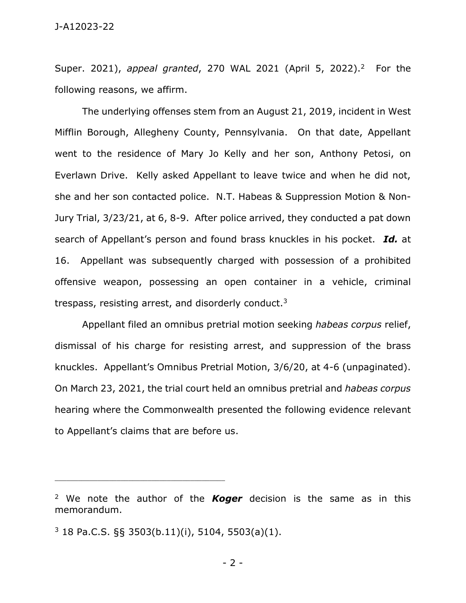Super. 2021), *appeal granted*, 270 WAL 2021 (April 5, 2022).<sup>2</sup> For the following reasons, we affirm.

The underlying offenses stem from an August 21, 2019, incident in West Mifflin Borough, Allegheny County, Pennsylvania. On that date, Appellant went to the residence of Mary Jo Kelly and her son, Anthony Petosi, on Everlawn Drive. Kelly asked Appellant to leave twice and when he did not, she and her son contacted police. N.T. Habeas & Suppression Motion & Non-Jury Trial, 3/23/21, at 6, 8-9. After police arrived, they conducted a pat down search of Appellant's person and found brass knuckles in his pocket. *Id.* at 16. Appellant was subsequently charged with possession of a prohibited offensive weapon, possessing an open container in a vehicle, criminal trespass, resisting arrest, and disorderly conduct.<sup>3</sup>

Appellant filed an omnibus pretrial motion seeking *habeas corpus* relief, dismissal of his charge for resisting arrest, and suppression of the brass knuckles. Appellant's Omnibus Pretrial Motion, 3/6/20, at 4-6 (unpaginated). On March 23, 2021, the trial court held an omnibus pretrial and *habeas corpus* hearing where the Commonwealth presented the following evidence relevant to Appellant's claims that are before us.

\_\_\_\_\_\_\_\_\_\_\_\_\_\_\_\_\_\_\_\_\_\_\_\_\_\_\_\_\_\_\_\_\_\_\_\_\_\_\_\_\_\_\_\_

<sup>2</sup> We note the author of the *Koger* decision is the same as in this memorandum.

 $3$  18 Pa.C.S. §§ 3503(b.11)(i), 5104, 5503(a)(1).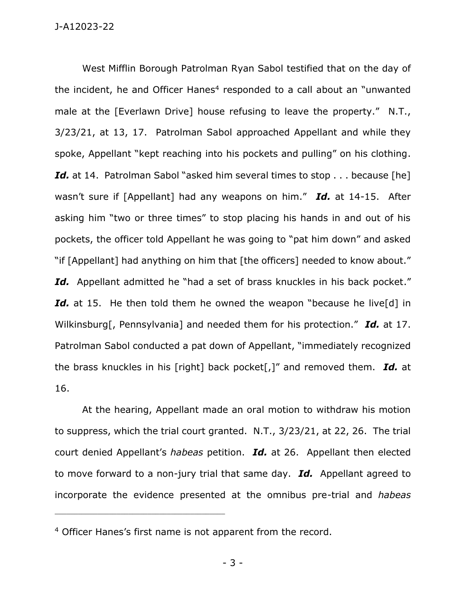West Mifflin Borough Patrolman Ryan Sabol testified that on the day of the incident, he and Officer Hanes<sup>4</sup> responded to a call about an "unwanted male at the [Everlawn Drive] house refusing to leave the property." N.T., 3/23/21, at 13, 17. Patrolman Sabol approached Appellant and while they spoke, Appellant "kept reaching into his pockets and pulling" on his clothing. Id. at 14. Patrolman Sabol "asked him several times to stop . . . because [he] wasn't sure if [Appellant] had any weapons on him." *Id.* at 14-15. After asking him "two or three times" to stop placing his hands in and out of his pockets, the officer told Appellant he was going to "pat him down" and asked "if [Appellant] had anything on him that [the officers] needed to know about." Id. Appellant admitted he "had a set of brass knuckles in his back pocket." Id. at 15. He then told them he owned the weapon "because he live<sup>[d]</sup> in Wilkinsburg[, Pennsylvania] and needed them for his protection." *Id.* at 17. Patrolman Sabol conducted a pat down of Appellant, "immediately recognized the brass knuckles in his [right] back pocket[,]" and removed them. *Id.* at 16.

At the hearing, Appellant made an oral motion to withdraw his motion to suppress, which the trial court granted. N.T., 3/23/21, at 22, 26. The trial court denied Appellant's *habeas* petition. *Id.* at 26. Appellant then elected to move forward to a non-jury trial that same day. *Id.* Appellant agreed to incorporate the evidence presented at the omnibus pre-trial and *habeas*

\_\_\_\_\_\_\_\_\_\_\_\_\_\_\_\_\_\_\_\_\_\_\_\_\_\_\_\_\_\_\_\_\_\_\_\_\_\_\_\_\_\_\_\_

- 3 -

<sup>4</sup> Officer Hanes's first name is not apparent from the record.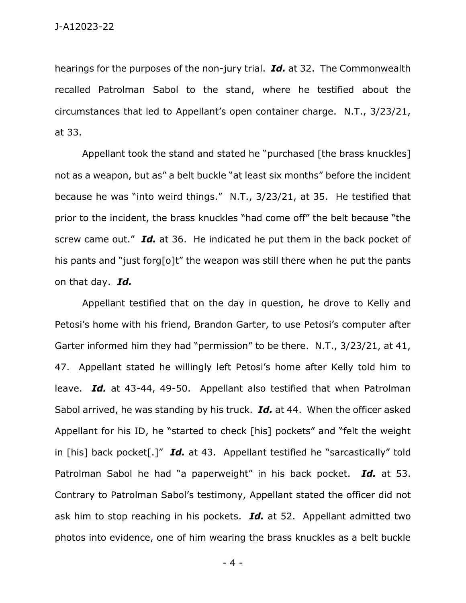hearings for the purposes of the non-jury trial. *Id.* at 32. The Commonwealth recalled Patrolman Sabol to the stand, where he testified about the circumstances that led to Appellant's open container charge. N.T., 3/23/21, at 33.

Appellant took the stand and stated he "purchased [the brass knuckles] not as a weapon, but as" a belt buckle "at least six months" before the incident because he was "into weird things." N.T., 3/23/21, at 35. He testified that prior to the incident, the brass knuckles "had come off" the belt because "the screw came out." *Id.* at 36. He indicated he put them in the back pocket of his pants and "just forg[o]t" the weapon was still there when he put the pants on that day. *Id.*

Appellant testified that on the day in question, he drove to Kelly and Petosi's home with his friend, Brandon Garter, to use Petosi's computer after Garter informed him they had "permission" to be there. N.T., 3/23/21, at 41, 47. Appellant stated he willingly left Petosi's home after Kelly told him to leave. *Id.* at 43-44, 49-50. Appellant also testified that when Patrolman Sabol arrived, he was standing by his truck. *Id.* at 44. When the officer asked Appellant for his ID, he "started to check [his] pockets" and "felt the weight in [his] back pocket[.]" *Id.* at 43. Appellant testified he "sarcastically" told Patrolman Sabol he had "a paperweight" in his back pocket. *Id.* at 53. Contrary to Patrolman Sabol's testimony, Appellant stated the officer did not ask him to stop reaching in his pockets. *Id.* at 52. Appellant admitted two photos into evidence, one of him wearing the brass knuckles as a belt buckle

- 4 -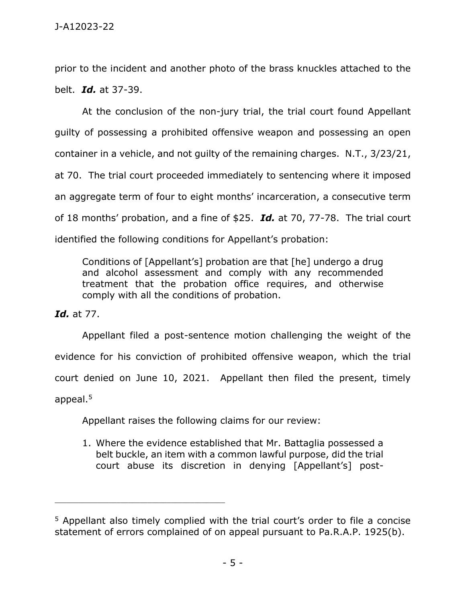prior to the incident and another photo of the brass knuckles attached to the belt. *Id.* at 37-39.

At the conclusion of the non-jury trial, the trial court found Appellant guilty of possessing a prohibited offensive weapon and possessing an open container in a vehicle, and not guilty of the remaining charges. N.T., 3/23/21, at 70. The trial court proceeded immediately to sentencing where it imposed an aggregate term of four to eight months' incarceration, a consecutive term of 18 months' probation, and a fine of \$25. *Id.* at 70, 77-78. The trial court identified the following conditions for Appellant's probation:

Conditions of [Appellant's] probation are that [he] undergo a drug and alcohol assessment and comply with any recommended treatment that the probation office requires, and otherwise comply with all the conditions of probation.

*Id.* at 77.

Appellant filed a post-sentence motion challenging the weight of the evidence for his conviction of prohibited offensive weapon, which the trial court denied on June 10, 2021. Appellant then filed the present, timely appeal.<sup>5</sup>

Appellant raises the following claims for our review:

\_\_\_\_\_\_\_\_\_\_\_\_\_\_\_\_\_\_\_\_\_\_\_\_\_\_\_\_\_\_\_\_\_\_\_\_\_\_\_\_\_\_\_\_

1. Where the evidence established that Mr. Battaglia possessed a belt buckle, an item with a common lawful purpose, did the trial court abuse its discretion in denying [Appellant's] post-

<sup>5</sup> Appellant also timely complied with the trial court's order to file a concise statement of errors complained of on appeal pursuant to Pa.R.A.P. 1925(b).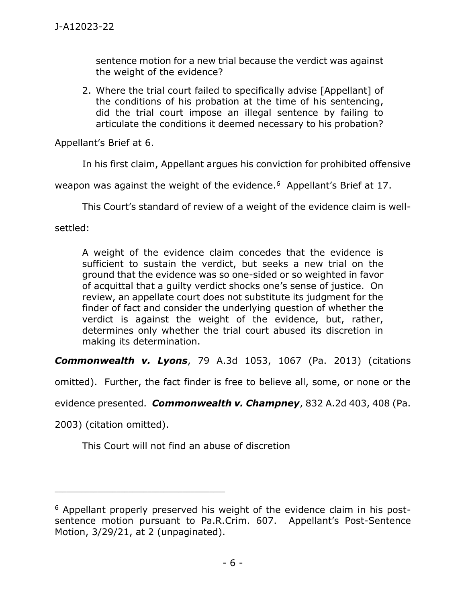sentence motion for a new trial because the verdict was against the weight of the evidence?

2. Where the trial court failed to specifically advise [Appellant] of the conditions of his probation at the time of his sentencing, did the trial court impose an illegal sentence by failing to articulate the conditions it deemed necessary to his probation?

Appellant's Brief at 6.

In his first claim, Appellant argues his conviction for prohibited offensive

weapon was against the weight of the evidence.<sup>6</sup> Appellant's Brief at 17.

This Court's standard of review of a weight of the evidence claim is well-

settled:

A weight of the evidence claim concedes that the evidence is sufficient to sustain the verdict, but seeks a new trial on the ground that the evidence was so one-sided or so weighted in favor of acquittal that a guilty verdict shocks one's sense of justice. On review, an appellate court does not substitute its judgment for the finder of fact and consider the underlying question of whether the verdict is against the weight of the evidence, but, rather, determines only whether the trial court abused its discretion in making its determination.

*Commonwealth v. Lyons*, 79 A.3d 1053, 1067 (Pa. 2013) (citations

omitted). Further, the fact finder is free to believe all, some, or none or the

evidence presented. *Commonwealth v. Champney*, 832 A.2d 403, 408 (Pa.

2003) (citation omitted).

\_\_\_\_\_\_\_\_\_\_\_\_\_\_\_\_\_\_\_\_\_\_\_\_\_\_\_\_\_\_\_\_\_\_\_\_\_\_\_\_\_\_\_\_

This Court will not find an abuse of discretion

<sup>6</sup> Appellant properly preserved his weight of the evidence claim in his postsentence motion pursuant to Pa.R.Crim. 607. Appellant's Post-Sentence Motion, 3/29/21, at 2 (unpaginated).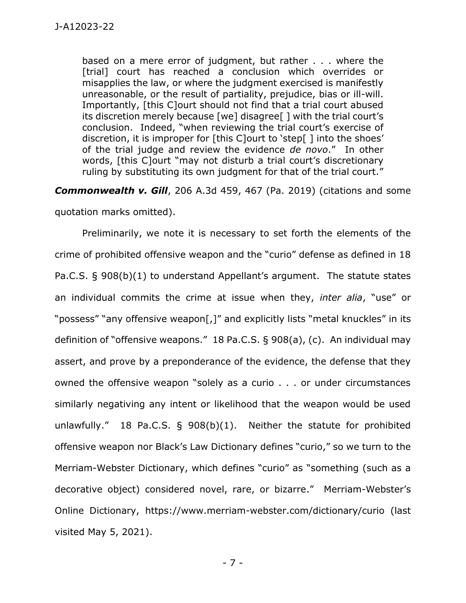based on a mere error of judgment, but rather . . . where the [trial] court has reached a conclusion which overrides or misapplies the law, or where the judgment exercised is manifestly unreasonable, or the result of partiality, prejudice, bias or ill-will. Importantly, [this C]ourt should not find that a trial court abused its discretion merely because [we] disagree[ ] with the trial court's conclusion. Indeed, "when reviewing the trial court's exercise of discretion, it is improper for [this C]ourt to 'step[ ] into the shoes' of the trial judge and review the evidence *de novo*." In other words, [this C]ourt "may not disturb a trial court's discretionary ruling by substituting its own judgment for that of the trial court."

*Commonwealth v. Gill*, 206 A.3d 459, 467 (Pa. 2019) (citations and some quotation marks omitted).

Preliminarily, we note it is necessary to set forth the elements of the crime of prohibited offensive weapon and the "curio" defense as defined in 18 Pa.C.S. § 908(b)(1) to understand Appellant's argument. The statute states an individual commits the crime at issue when they, *inter alia*, "use" or "possess" "any offensive weapon[,]" and explicitly lists "metal knuckles" in its definition of "offensive weapons." 18 Pa.C.S. § 908(a), (c). An individual may assert, and prove by a preponderance of the evidence, the defense that they owned the offensive weapon "solely as a curio . . . or under circumstances similarly negativing any intent or likelihood that the weapon would be used unlawfully." 18 Pa.C.S. § 908(b)(1). Neither the statute for prohibited offensive weapon nor Black's Law Dictionary defines "curio," so we turn to the Merriam-Webster Dictionary, which defines "curio" as "something (such as a decorative object) considered novel, rare, or bizarre." Merriam-Webster's Online Dictionary, https://www.merriam-webster.com/dictionary/curio (last visited May 5, 2021).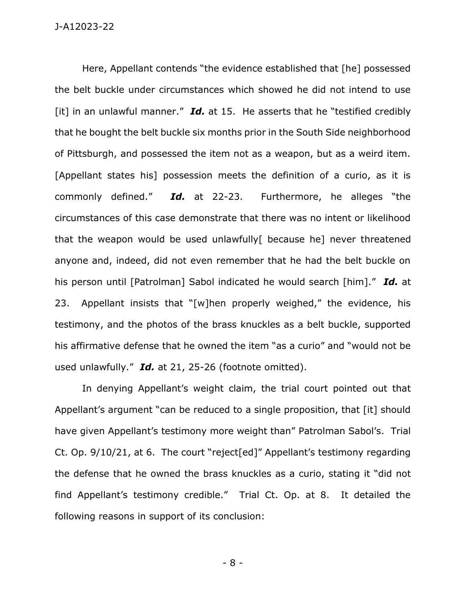Here, Appellant contends "the evidence established that [he] possessed the belt buckle under circumstances which showed he did not intend to use [it] in an unlawful manner." **Id.** at 15. He asserts that he "testified credibly that he bought the belt buckle six months prior in the South Side neighborhood of Pittsburgh, and possessed the item not as a weapon, but as a weird item. [Appellant states his] possession meets the definition of a curio, as it is commonly defined." *Id.* at 22-23. Furthermore, he alleges "the circumstances of this case demonstrate that there was no intent or likelihood that the weapon would be used unlawfully[ because he] never threatened anyone and, indeed, did not even remember that he had the belt buckle on his person until [Patrolman] Sabol indicated he would search [him]." *Id.* at 23. Appellant insists that "[w]hen properly weighed," the evidence, his testimony, and the photos of the brass knuckles as a belt buckle, supported his affirmative defense that he owned the item "as a curio" and "would not be used unlawfully." *Id.* at 21, 25-26 (footnote omitted).

In denying Appellant's weight claim, the trial court pointed out that Appellant's argument "can be reduced to a single proposition, that [it] should have given Appellant's testimony more weight than" Patrolman Sabol's. Trial Ct. Op. 9/10/21, at 6. The court "reject[ed]" Appellant's testimony regarding the defense that he owned the brass knuckles as a curio, stating it "did not find Appellant's testimony credible." Trial Ct. Op. at 8. It detailed the following reasons in support of its conclusion:

- 8 -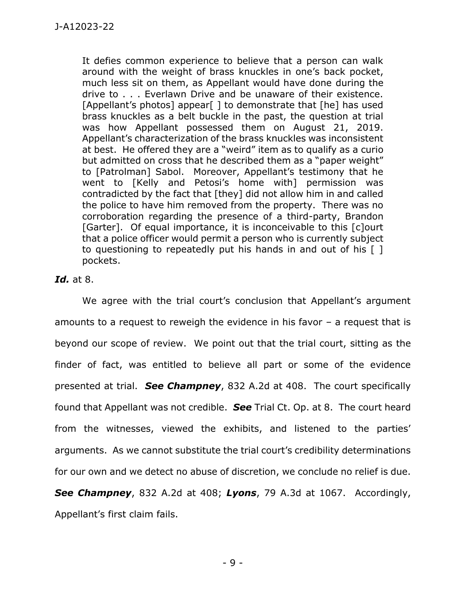It defies common experience to believe that a person can walk around with the weight of brass knuckles in one's back pocket, much less sit on them, as Appellant would have done during the drive to . . . Everlawn Drive and be unaware of their existence. [Appellant's photos] appear [] to demonstrate that [he] has used brass knuckles as a belt buckle in the past, the question at trial was how Appellant possessed them on August 21, 2019. Appellant's characterization of the brass knuckles was inconsistent at best. He offered they are a "weird" item as to qualify as a curio but admitted on cross that he described them as a "paper weight" to [Patrolman] Sabol. Moreover, Appellant's testimony that he went to [Kelly and Petosi's home with] permission was contradicted by the fact that [they] did not allow him in and called the police to have him removed from the property. There was no corroboration regarding the presence of a third-party, Brandon [Garter]. Of equal importance, it is inconceivable to this [c]ourt that a police officer would permit a person who is currently subject to questioning to repeatedly put his hands in and out of his [ ] pockets.

## *Id.* at 8.

We agree with the trial court's conclusion that Appellant's argument amounts to a request to reweigh the evidence in his favor – a request that is beyond our scope of review. We point out that the trial court, sitting as the finder of fact, was entitled to believe all part or some of the evidence presented at trial. *See Champney*, 832 A.2d at 408. The court specifically found that Appellant was not credible. *See* Trial Ct. Op. at 8. The court heard from the witnesses, viewed the exhibits, and listened to the parties' arguments. As we cannot substitute the trial court's credibility determinations for our own and we detect no abuse of discretion, we conclude no relief is due.

*See Champney*, 832 A.2d at 408; *Lyons*, 79 A.3d at 1067. Accordingly, Appellant's first claim fails.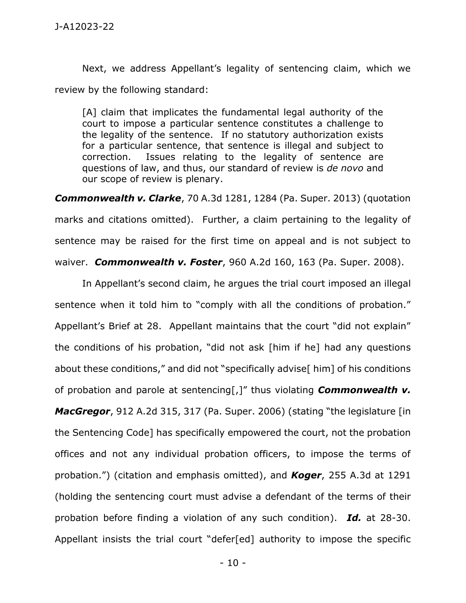Next, we address Appellant's legality of sentencing claim, which we review by the following standard:

[A] claim that implicates the fundamental legal authority of the court to impose a particular sentence constitutes a challenge to the legality of the sentence. If no statutory authorization exists for a particular sentence, that sentence is illegal and subject to correction. Issues relating to the legality of sentence are questions of law, and thus, our standard of review is *de novo* and our scope of review is plenary.

*Commonwealth v. Clarke*, 70 A.3d 1281, 1284 (Pa. Super. 2013) (quotation marks and citations omitted). Further, a claim pertaining to the legality of sentence may be raised for the first time on appeal and is not subject to waiver. *Commonwealth v. Foster*, 960 A.2d 160, 163 (Pa. Super. 2008).

In Appellant's second claim, he argues the trial court imposed an illegal sentence when it told him to "comply with all the conditions of probation." Appellant's Brief at 28. Appellant maintains that the court "did not explain" the conditions of his probation, "did not ask [him if he] had any questions about these conditions," and did not "specifically advise<sup>[</sup> him] of his conditions of probation and parole at sentencing[,]" thus violating *Commonwealth v. MacGregor*, 912 A.2d 315, 317 (Pa. Super. 2006) (stating "the legislature [in the Sentencing Code] has specifically empowered the court, not the probation offices and not any individual probation officers, to impose the terms of probation.") (citation and emphasis omitted), and *Koger*, 255 A.3d at 1291 (holding the sentencing court must advise a defendant of the terms of their probation before finding a violation of any such condition). *Id.* at 28-30. Appellant insists the trial court "defer[ed] authority to impose the specific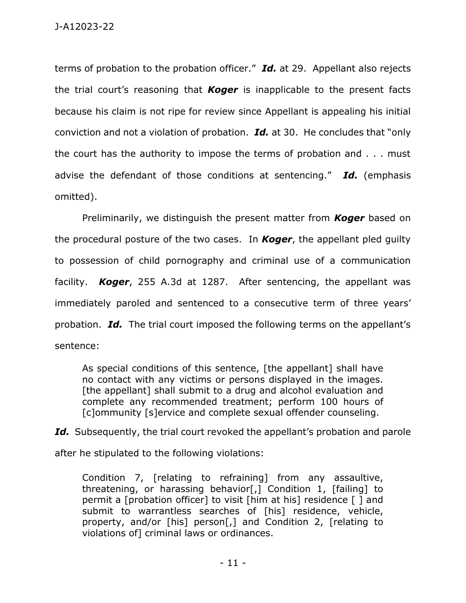terms of probation to the probation officer." *Id.* at 29. Appellant also rejects the trial court's reasoning that *Koger* is inapplicable to the present facts because his claim is not ripe for review since Appellant is appealing his initial conviction and not a violation of probation. *Id.* at 30. He concludes that "only the court has the authority to impose the terms of probation and . . . must advise the defendant of those conditions at sentencing." *Id.* (emphasis omitted).

Preliminarily, we distinguish the present matter from *Koger* based on the procedural posture of the two cases. In *Koger*, the appellant pled guilty to possession of child pornography and criminal use of a communication facility. *Koger*, 255 A.3d at 1287. After sentencing, the appellant was immediately paroled and sentenced to a consecutive term of three years' probation. *Id.* The trial court imposed the following terms on the appellant's sentence:

As special conditions of this sentence, [the appellant] shall have no contact with any victims or persons displayed in the images. [the appellant] shall submit to a drug and alcohol evaluation and complete any recommended treatment; perform 100 hours of [c]ommunity [s]ervice and complete sexual offender counseling.

Id. Subsequently, the trial court revoked the appellant's probation and parole after he stipulated to the following violations:

Condition 7, [relating to refraining] from any assaultive, threatening, or harassing behavior[,] Condition 1, [failing] to permit a [probation officer] to visit [him at his] residence [ ] and submit to warrantless searches of [his] residence, vehicle, property, and/or [his] person[,] and Condition 2, [relating to violations of] criminal laws or ordinances.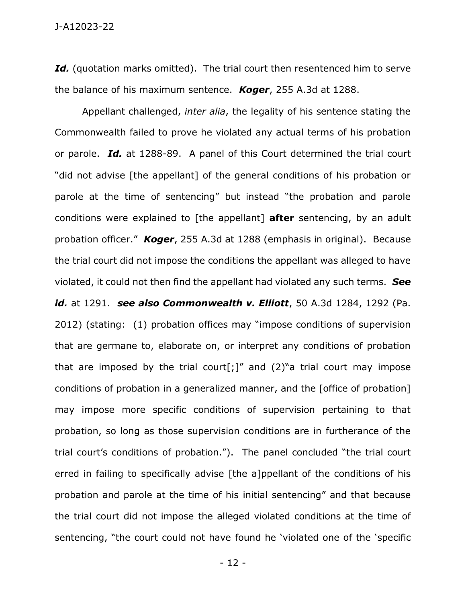Id. (quotation marks omitted). The trial court then resentenced him to serve the balance of his maximum sentence. *Koger*, 255 A.3d at 1288.

Appellant challenged, *inter alia*, the legality of his sentence stating the Commonwealth failed to prove he violated any actual terms of his probation or parole. *Id.* at 1288-89. A panel of this Court determined the trial court "did not advise [the appellant] of the general conditions of his probation or parole at the time of sentencing" but instead "the probation and parole conditions were explained to [the appellant] **after** sentencing, by an adult probation officer." *Koger*, 255 A.3d at 1288 (emphasis in original). Because the trial court did not impose the conditions the appellant was alleged to have violated, it could not then find the appellant had violated any such terms. *See id.* at 1291. *see also Commonwealth v. Elliott*, 50 A.3d 1284, 1292 (Pa. 2012) (stating: (1) probation offices may "impose conditions of supervision that are germane to, elaborate on, or interpret any conditions of probation that are imposed by the trial court[;]" and  $(2)$ " a trial court may impose conditions of probation in a generalized manner, and the [office of probation] may impose more specific conditions of supervision pertaining to that probation, so long as those supervision conditions are in furtherance of the trial court's conditions of probation."). The panel concluded "the trial court erred in failing to specifically advise [the a]ppellant of the conditions of his probation and parole at the time of his initial sentencing" and that because the trial court did not impose the alleged violated conditions at the time of sentencing, "the court could not have found he 'violated one of the 'specific

- 12 -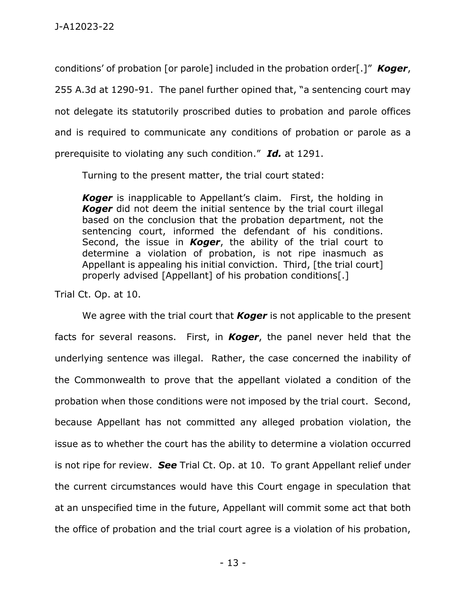conditions' of probation [or parole] included in the probation order[.]" *Koger*, 255 A.3d at 1290-91. The panel further opined that, "a sentencing court may not delegate its statutorily proscribed duties to probation and parole offices and is required to communicate any conditions of probation or parole as a prerequisite to violating any such condition." *Id.* at 1291.

Turning to the present matter, the trial court stated:

*Koger* is inapplicable to Appellant's claim. First, the holding in *Koger* did not deem the initial sentence by the trial court illegal based on the conclusion that the probation department, not the sentencing court, informed the defendant of his conditions. Second, the issue in *Koger*, the ability of the trial court to determine a violation of probation, is not ripe inasmuch as Appellant is appealing his initial conviction. Third, [the trial court] properly advised [Appellant] of his probation conditions[.]

Trial Ct. Op. at 10.

We agree with the trial court that *Koger* is not applicable to the present facts for several reasons. First, in *Koger*, the panel never held that the underlying sentence was illegal. Rather, the case concerned the inability of the Commonwealth to prove that the appellant violated a condition of the probation when those conditions were not imposed by the trial court. Second, because Appellant has not committed any alleged probation violation, the issue as to whether the court has the ability to determine a violation occurred is not ripe for review. *See* Trial Ct. Op. at 10. To grant Appellant relief under the current circumstances would have this Court engage in speculation that at an unspecified time in the future, Appellant will commit some act that both the office of probation and the trial court agree is a violation of his probation,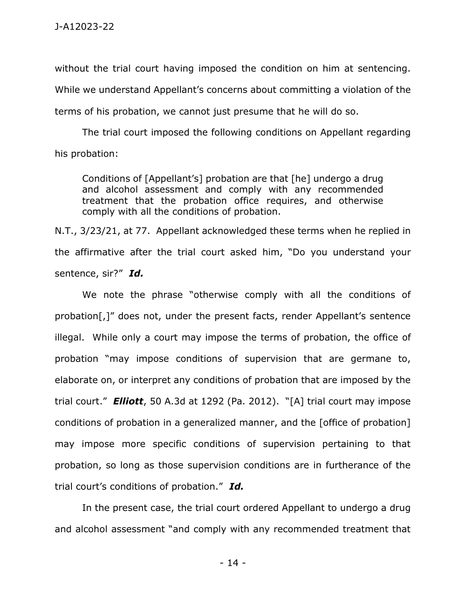without the trial court having imposed the condition on him at sentencing. While we understand Appellant's concerns about committing a violation of the terms of his probation, we cannot just presume that he will do so.

The trial court imposed the following conditions on Appellant regarding his probation:

Conditions of [Appellant's] probation are that [he] undergo a drug and alcohol assessment and comply with any recommended treatment that the probation office requires, and otherwise comply with all the conditions of probation.

N.T., 3/23/21, at 77. Appellant acknowledged these terms when he replied in the affirmative after the trial court asked him, "Do you understand your sentence, sir?" *Id.*

We note the phrase "otherwise comply with all the conditions of probation[,]" does not, under the present facts, render Appellant's sentence illegal. While only a court may impose the terms of probation, the office of probation "may impose conditions of supervision that are germane to, elaborate on, or interpret any conditions of probation that are imposed by the trial court." *Elliott*, 50 A.3d at 1292 (Pa. 2012). "[A] trial court may impose conditions of probation in a generalized manner, and the [office of probation] may impose more specific conditions of supervision pertaining to that probation, so long as those supervision conditions are in furtherance of the trial court's conditions of probation." *Id.*

In the present case, the trial court ordered Appellant to undergo a drug and alcohol assessment "and comply with any recommended treatment that

- 14 -